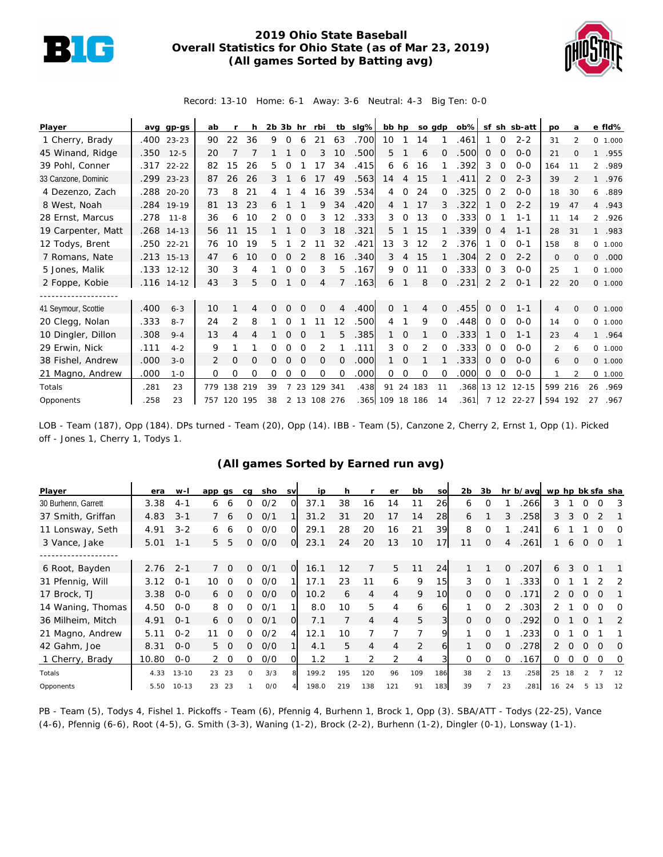

## **2019 Ohio State Baseball Overall Statistics for Ohio State (as of Mar 23, 2019) (All games Sorted by Batting avg)**



Record: 13-10 Home: 6-1 Away: 3-6 Neutral: 4-3 Big Ten: 0-0

| Player              |      | avg gp-gs    | ab  |                |     | $2b$ $3b$ hr |          |          | rbi          |                | tb slg% | bb hp           |             |          | so gdp   |      |               |          | ob% sf sh sb-att | po           | a             |         | e fld%   |
|---------------------|------|--------------|-----|----------------|-----|--------------|----------|----------|--------------|----------------|---------|-----------------|-------------|----------|----------|------|---------------|----------|------------------|--------------|---------------|---------|----------|
| 1 Cherry, Brady     |      | .400 23-23   | 90  | 22             | 36  | 9            | 0        | 6        | 21           | 63             | .700    | 10              |             | 14       |          | .461 |               | $\Omega$ | $2 - 2$          | 31           | $\mathcal{P}$ |         | 0 1.000  |
| 45 Winand, Ridge    | .350 | $12 - 5$     | 20  |                |     |              |          |          |              | 10             | .500    | 5               |             | 6        | $\Omega$ | .500 | $\mathcal{O}$ | $\Omega$ | $O - O$          | 21           | $\Omega$      |         | 1 .955   |
| 39 Pohl, Conner     |      | $.317$ 22-22 | 82  | 15             | 26  | 5.           | Ω        |          | 17           | 34             | .415    | 6               | 6           | 16       |          | .392 | 3             | $\Omega$ | $O - O$          | 164          | 11            |         | 2 .989   |
| 33 Canzone, Dominic | .299 | $23 - 23$    | 87  | 26             | 26  | 3            |          |          | 17           | 49             | .563    | 14              | 4           | 15       |          | .411 | 2             | 0        | $2 - 3$          | 39           |               |         | 1 .976   |
| 4 Dezenzo, Zach     |      | .288 20-20   | 73  | 8              | 21  | 4            |          |          | 16           | 39             | .534    | 4               | $\Omega$    | 24       | $\Omega$ | .325 | 0             |          | $0 - 0$          | 18           | 30            | 6       | .889     |
| 8 West, Noah        |      | .284 19-19   | 81  | 13             | 23  | 6            |          |          | 9            | 34             | .420    | 4               |             | 17       | 3        | .322 |               | $\Omega$ | $2 - 2$          | 19           | 47            |         | 4.943    |
| 28 Ernst, Marcus    | .278 | $11 - 8$     | 36  | 6              | 10  |              | 0        | $\Omega$ | 3            | 12             | .333    | 3               | $\Omega$    | 13       | 0        | .333 | 0             |          | $1 - 1$          | 11           | 14            |         | 2 .926   |
| 19 Carpenter, Matt  |      | .268 14-13   | 56  | 11             | 15  |              |          |          | 3            | 18             | .321    | 5.              |             | 15       |          | .339 | 0             | 4        | $1 - 1$          | 28           | 31            |         | 1 .983   |
| 12 Todys, Brent     | .250 | $22 - 21$    | 76  | 10             | 19  | 5.           |          |          |              | 32             | .421    | 13              | 3           | 12       | 2        | .376 |               | O        | $O - 1$          | 158          | 8             |         | 0, 1,000 |
| 7 Romans, Nate      |      | .213 15-13   | 47  | 6              | 10  | 0            | $\Omega$ |          | 8            | 16             | .340    | 3               | 4           | 15       |          | .304 | 2             | 0        | $2 - 2$          | $\mathbf{O}$ | 0             | $\circ$ | .000     |
| 5 Jones, Malik      |      | .133 12-12   | 30  | 3              | 4   |              | 0        | $\Omega$ | 3            | 5              | .167    | 9               | $\mathbf 0$ | 11       | 0        | .333 | $\Omega$      | 3        | $0-0$            | 25           |               |         | 0 1.000  |
| 2 Foppe, Kobie      |      | .116 14-12   | 43  | 3              | 5   | $\Omega$     |          | $\Omega$ | 4            |                | .163    | 6               |             | 8        | $\Omega$ | .231 | 2             |          | $O - 1$          | 22           | 20            |         | 0 1.000  |
| ------------------  |      |              |     |                |     |              |          |          |              |                |         |                 |             |          |          |      |               |          |                  |              |               |         |          |
| 41 Seymour, Scottie | .400 | $6 - 3$      | 10  |                | 4   | 0            |          |          | $\Omega$     | 4              | .400    | 0               |             | 4        | $\Omega$ | .455 | $\Omega$      | $\Omega$ | $1 - 1$          | 4            | $\Omega$      |         | 0, 1,000 |
| 20 Clegg, Nolan     | .333 | $8 - 7$      | 24  | $\overline{2}$ | 8   |              | O        |          | 11           | 12             | .500    | 4               |             | 9        | $\Omega$ | .448 | $\Omega$      | $\Omega$ | $0 - 0$          | 14           | $\Omega$      |         | 0 1.000  |
| 10 Dingler, Dillon  | .308 | $9 - 4$      | 13  | 4              | 4   |              | $\Omega$ | $\Omega$ |              | 5              | .385    |                 | $\Omega$    |          | 0        | .333 |               | $\Omega$ | $1 - 1$          | 23           | Δ             |         | 1 .964   |
| 29 Erwin, Nick      | .111 | $4 - 2$      | 9   |                |     |              | 0        | $\Omega$ | 2            |                | .111    | 3               | 0           | 2        | $\Omega$ | .333 | 0             | 0        | $0 - 0$          | 2            | 6             |         | 0 1.000  |
| 38 Fishel, Andrew   | .000 | $3 - 0$      | 2   | 0              | O   | O            | $\Omega$ | $\Omega$ | 0            | $\overline{0}$ | .000    |                 | 0           |          |          | .333 | 0             | 0        | $0 - 0$          | 6            | 0             |         | 0, 1,000 |
| 21 Magno, Andrew    | .000 | $1 - 0$      | 0   | 0              | 0   | 0            | O        | $\Omega$ | O            | O              | .000    | $\Omega$        | $\Omega$    | $\Omega$ | $\Omega$ | .000 | 0             | $\Omega$ | $O-O$            |              |               |         | 0 1.000  |
| Totals              | .281 | 23           | 779 | 138            | 219 | 39           |          | 23       | 129          | 341            | .438    | 91              |             | 24 183   | 11       | .368 | 13            | 12       | $12 - 15$        | 599 216      |               | 26      | .969     |
| Opponents           | .258 | 23           |     | 757 120 195    |     | 38           |          |          | 2 13 108 276 |                |         | .365 109 18 186 |             |          | 14       | .361 |               |          | 7 12 22-27       | 594 192      |               | 27      | .967     |

LOB - Team (187), Opp (184). DPs turned - Team (20), Opp (14). IBB - Team (5), Canzone 2, Cherry 2, Ernst 1, Opp (1). Picked off - Jones 1, Cherry 1, Todys 1.

## **(All games Sorted by Earned run avg)**

| Player              | era   | w-l       | app gs         | ca           | sho | <b>SV</b>      | ip    | h   |                | er  | bb             | SO              | 2 <sub>b</sub> | 3b             |                | hr b/avg wp hp bk sfa sha |                |          |               |          |          |
|---------------------|-------|-----------|----------------|--------------|-----|----------------|-------|-----|----------------|-----|----------------|-----------------|----------------|----------------|----------------|---------------------------|----------------|----------|---------------|----------|----------|
| 30 Burhenn, Garrett | 3.38  | $4 - 1$   | 6<br>6         | O            | O/2 | വ              | 37.1  | 38  | 16             | 14  | 11             | 26              | 6              | O              |                | 266                       | 3              |          | O             | Ω        | 3        |
| 37 Smith, Griffan   | 4.83  | $3 - 1$   | -6             | 0            | O/1 |                | 31.2  | 31  | 20             | 17  | 14             | 28              | 6              |                | 3              | 258                       | 3              | 3        | 0             |          |          |
| 11 Lonsway, Seth    | 4.91  | $3 - 2$   | 6<br>6         | 0            | O/O | $\Omega$       | 29.1  | 28  | 20             | 16  | 21             | 39              | 8              | 0              |                | 241                       | 6              |          |               | Ω        | 0        |
| 3 Vance, Jake       | 5.01  | $1 - 1$   | 5<br>5         | $\Omega$     | 0/0 | $\overline{O}$ | 23.1  | 24  | 20             | 13  | 10             | 17              | 11             | $\mathbf{O}$   | $\overline{4}$ | .261                      |                | 6        | $\mathbf 0$   | $\Omega$ |          |
|                     |       |           |                |              |     |                |       |     |                |     |                |                 |                |                |                |                           |                |          |               |          |          |
| 6 Root, Bayden      | 2.76  | $2 - 1$   | $\Omega$       | 0            | O/1 | $\Omega$       | 16.1  | 12  | 7              | 5   | 11             | 24              |                |                | $\Omega$       | .207                      | 6              | 3        | $\Omega$      |          |          |
| 31 Pfennig, Will    | 3.12  | $O - 1$   | 10             | 0            | O/O |                | 17.1  | 23  | 11             | 6   | 9              | 15 <sub>i</sub> | 3              | $\Omega$       |                | .333                      | 0              |          |               |          | 2        |
| 17 Brock, TJ        | 3.38  | $O - O$   | 6 0            | Ω            | O/O | $\overline{O}$ | 10.2  | 6   | 4              | 4   | 9              | 10 <sup>1</sup> | $\circ$        | $\overline{O}$ | $\Omega$       | .171                      | $\overline{2}$ | $\Omega$ | $\Omega$      | $\Omega$ |          |
| 14 Waning, Thomas   | 4.50  | $O-O$     | 8<br>$\Omega$  | ∩            | O/1 |                | 8.0   | 10  | 5              | 4   | 6              | 61              |                | $\Omega$       |                | .303                      |                |          | $\Omega$      | ∩        | $\Omega$ |
| 36 Milheim, Mitch   | 4.91  | $O - 1$   | $\cap$<br>6    | $\Omega$     | O/1 | O              | 7.1   |     | $\overline{4}$ | 4   | 5              | $\overline{3}$  | $\Omega$       | $\overline{O}$ | $\Omega$       | .292                      | $\Omega$       |          | O             |          | 2        |
| 21 Magno, Andrew    | 5.11  | $0 - 2$   | $\Omega$       | <sup>o</sup> | O/2 | 4              | 12.1  | 10  |                |     | $\overline{7}$ | 9               |                | $\Omega$       |                | 233                       | 0              |          | ∩             |          |          |
| 42 Gahm, Joe        | 8.31  | $0 - 0$   | 5.<br>$\Omega$ | 0            | 0/0 |                | 4.1   | 5   | 4              | 4   | $\overline{2}$ | 61              |                | $\Omega$       | $\Omega$       | 278                       | $\mathcal{P}$  | $\Omega$ | $\Omega$      | $\Omega$ | $\Omega$ |
| 1 Cherry, Brady     | 10.80 | $0 - 0$   | $2\quad 0$     | 0            | O/O | O.             | 1.2   |     | 2              | 2   | 4              | $\overline{3}$  | $\mathbf 0$    | 0              | $\Omega$       | .167                      | 0              | $\circ$  | $\circ$       | $\Omega$ | 0        |
| Totals              | 4.33  | $13 - 10$ | 23<br>23       | $\Omega$     | 3/3 | 8              | 199.2 | 195 | 120            | 96  | 109            | 186             | 38             | $\overline{2}$ | 13             | .258                      | 25             | 18       | $\mathcal{P}$ |          | 12       |
| Opponents           | 5.50  | $10 - 13$ | 23<br>23       |              | O/O |                | 198.0 | 219 | 138            | 121 | 91             | 183             | 39             |                | 23             | .281                      | 16             | 24       |               | 13       | 12       |

PB - Team (5), Todys 4, Fishel 1. Pickoffs - Team (6), Pfennig 4, Burhenn 1, Brock 1, Opp (3). SBA/ATT - Todys (22-25), Vance (4-6), Pfennig (6-6), Root (4-5), G. Smith (3-3), Waning (1-2), Brock (2-2), Burhenn (1-2), Dingler (0-1), Lonsway (1-1).